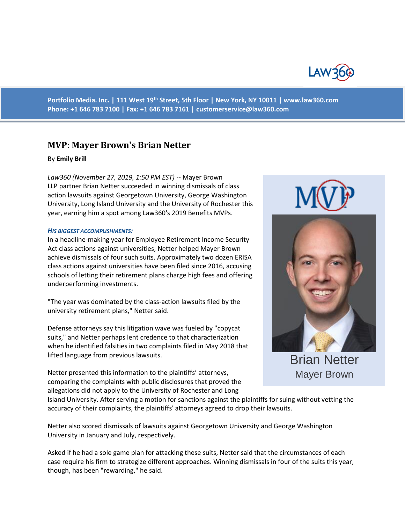

**Portfolio Media. Inc. | 111 West 19th Street, 5th Floor | New York, NY 10011 | www.law360.com Phone: +1 646 783 7100 | Fax: +1 646 783 7161 | [customerservice@law360.com](mailto:customerservice@law360.com)**

# **MVP: Mayer Brown's Brian Netter**

# By **Emily Brill**

*Law360 (November 27, 2019, 1:50 PM EST)* -- Mayer Brown LLP partner Brian Netter succeeded in winning dismissals of class action lawsuits against Georgetown University, George Washington University, Long Island University and the University of Rochester this year, earning him a spot among Law360's 2019 Benefits MVPs.

## *HIS BIGGEST ACCOMPLISHMENTS:*

In a headline-making year for Employee Retirement Income Security Act class actions against universities, Netter helped Mayer Brown achieve dismissals of four such suits. Approximately two dozen ERISA class actions against universities have been filed since 2016, accusing schools of letting their retirement plans charge high fees and offering underperforming investments.

"The year was dominated by the class-action lawsuits filed by the university retirement plans," Netter said.

Defense attorneys say this litigation wave was fueled by "copycat suits," and Netter perhaps lent credence to that characterization when he identified falsities in two complaints filed in May 2018 that lifted language from previous lawsuits.

Netter presented this information to the plaintiffs' attorneys, comparing the complaints with public disclosures that proved the allegations did not apply to the University of Rochester and Long





Brian Netter Mayer Brown

Island University. After serving a motion for sanctions against the plaintiffs for suing without vetting the accuracy of their complaints, the plaintiffs' attorneys agreed to drop their lawsuits.

Netter also scored dismissals of lawsuits against Georgetown University and George Washington University in January and July, respectively.

Asked if he had a sole game plan for attacking these suits, Netter said that the circumstances of each case require his firm to strategize different approaches. Winning dismissals in four of the suits this year, though, has been "rewarding," he said.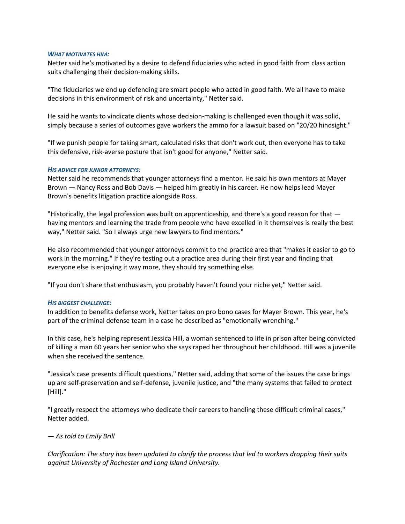## *WHAT MOTIVATES HIM:*

Netter said he's motivated by a desire to defend fiduciaries who acted in good faith from class action suits challenging their decision-making skills.

"The fiduciaries we end up defending are smart people who acted in good faith. We all have to make decisions in this environment of risk and uncertainty," Netter said.

He said he wants to vindicate clients whose decision-making is challenged even though it was solid, simply because a series of outcomes gave workers the ammo for a lawsuit based on "20/20 hindsight."

"If we punish people for taking smart, calculated risks that don't work out, then everyone has to take this defensive, risk-averse posture that isn't good for anyone," Netter said.

## *HIS ADVICE FOR JUNIOR ATTORNEYS:*

Netter said he recommends that younger attorneys find a mentor. He said his own mentors at Mayer Brown — Nancy Ross and Bob Davis — helped him greatly in his career. He now helps lead Mayer Brown's benefits litigation practice alongside Ross.

"Historically, the legal profession was built on apprenticeship, and there's a good reason for that having mentors and learning the trade from people who have excelled in it themselves is really the best way," Netter said. "So I always urge new lawyers to find mentors."

He also recommended that younger attorneys commit to the practice area that "makes it easier to go to work in the morning." If they're testing out a practice area during their first year and finding that everyone else is enjoying it way more, they should try something else.

"If you don't share that enthusiasm, you probably haven't found your niche yet," Netter said.

#### *HIS BIGGEST CHALLENGE:*

In addition to benefits defense work, Netter takes on pro bono cases for Mayer Brown. This year, he's part of the criminal defense team in a case he described as "emotionally wrenching."

In this case, he's helping represent Jessica Hill, a woman sentenced to life in prison after being convicted of killing a man 60 years her senior who she says raped her throughout her childhood. Hill was a juvenile when she received the sentence.

"Jessica's case presents difficult questions," Netter said, adding that some of the issues the case brings up are self-preservation and self-defense, juvenile justice, and "the many systems that failed to protect [Hill]."

"I greatly respect the attorneys who dedicate their careers to handling these difficult criminal cases," Netter added.

# *— As told to Emily Brill*

*Clarification: The story has been updated to clarify the process that led to workers dropping their suits against University of Rochester and Long Island University.*